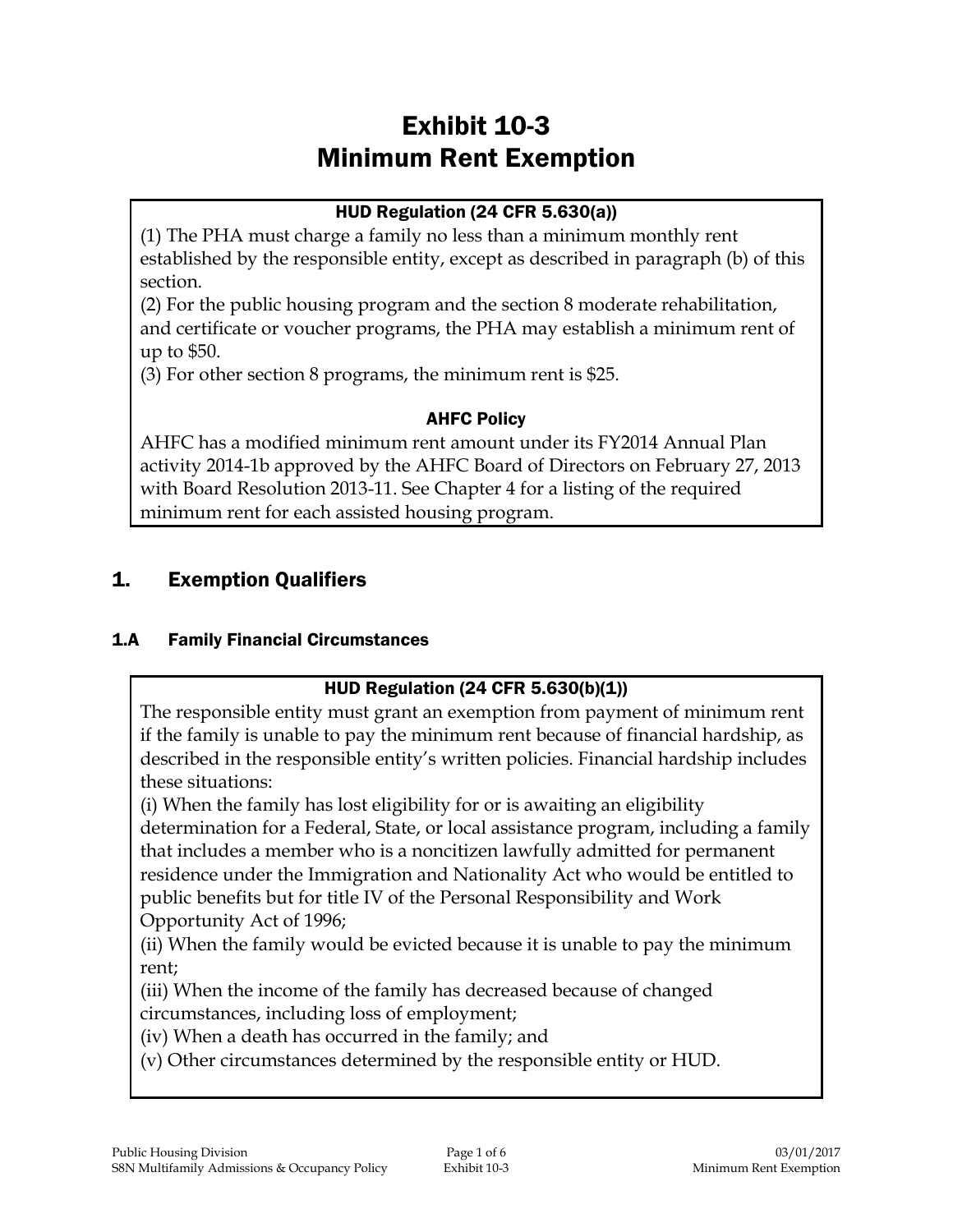# Exhibit 10-3 Minimum Rent Exemption

## HUD Regulation (24 CFR 5.630(a))

(1) The PHA must charge a family no less than a minimum monthly rent established by the responsible entity, except as described in paragraph (b) of this section.

(2) For the public housing program and the section 8 moderate rehabilitation, and certificate or voucher programs, the PHA may establish a minimum rent of up to \$50.

(3) For other section 8 programs, the minimum rent is \$25.

#### AHFC Policy

AHFC has a modified minimum rent amount under its FY2014 Annual Plan activity 2014-1b approved by the AHFC Board of Directors on February 27, 2013 with Board Resolution 2013-11. See Chapter 4 for a listing of the required minimum rent for each assisted housing program.

# 1. Exemption Qualifiers

#### 1.A Family Financial Circumstances

# HUD Regulation (24 CFR 5.630(b)(1))

The responsible entity must grant an exemption from payment of minimum rent if the family is unable to pay the minimum rent because of financial hardship, as described in the responsible entity's written policies. Financial hardship includes these situations:

(i) When the family has lost eligibility for or is awaiting an eligibility

determination for a Federal, State, or local assistance program, including a family that includes a member who is a noncitizen lawfully admitted for permanent residence under the Immigration and Nationality Act who would be entitled to public benefits but for title IV of the Personal Responsibility and Work Opportunity Act of 1996;

(ii) When the family would be evicted because it is unable to pay the minimum rent;

(iii) When the income of the family has decreased because of changed circumstances, including loss of employment;

(iv) When a death has occurred in the family; and

(v) Other circumstances determined by the responsible entity or HUD.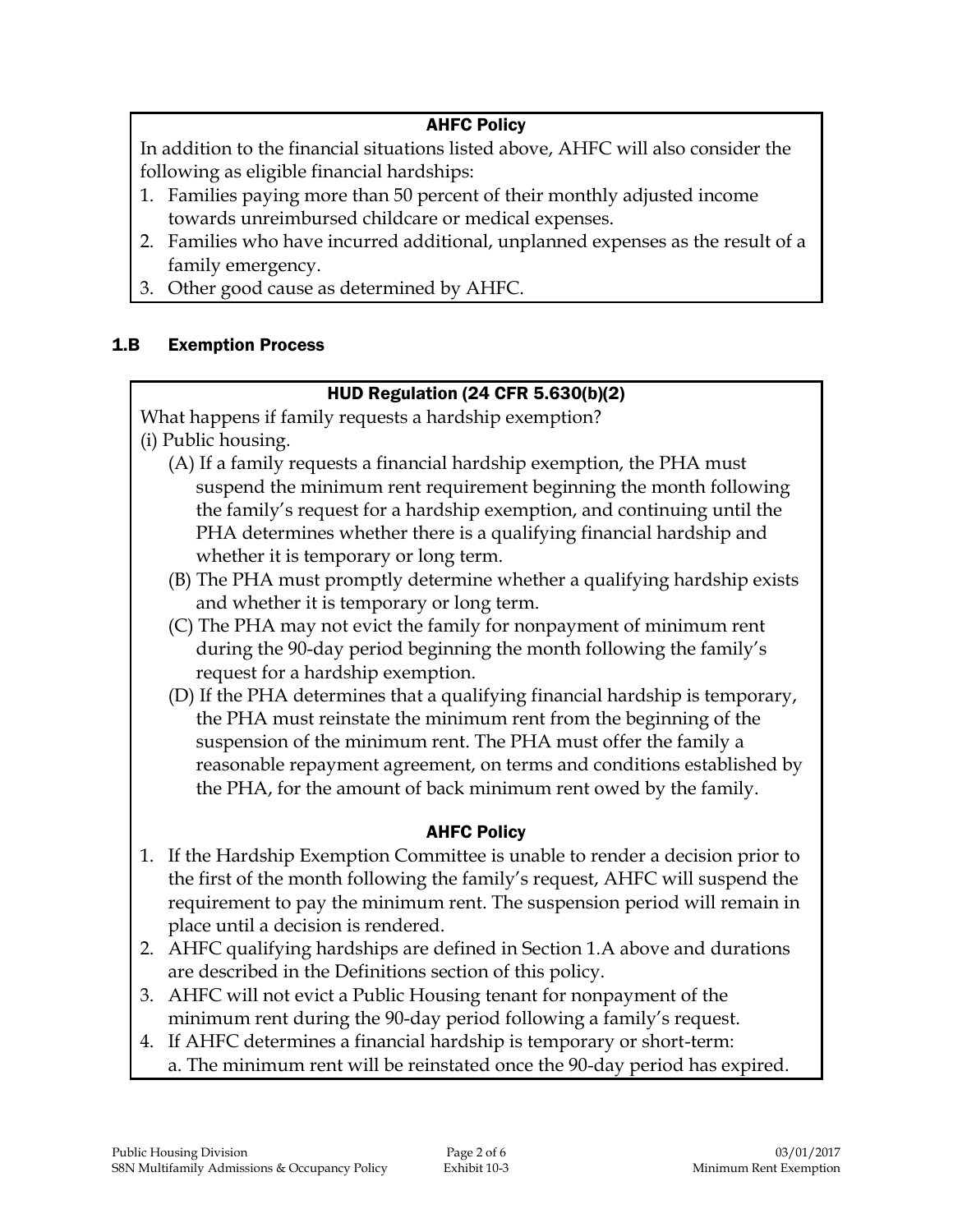#### AHFC Policy

In addition to the financial situations listed above, AHFC will also consider the following as eligible financial hardships:

- 1. Families paying more than 50 percent of their monthly adjusted income towards unreimbursed childcare or medical expenses.
- 2. Families who have incurred additional, unplanned expenses as the result of a family emergency.
- 3. Other good cause as determined by AHFC.

#### 1.B Exemption Process

#### HUD Regulation (24 CFR 5.630(b)(2)

What happens if family requests a hardship exemption? (i) Public housing.

- (A) If a family requests a financial hardship exemption, the PHA must suspend the minimum rent requirement beginning the month following the family's request for a hardship exemption, and continuing until the PHA determines whether there is a qualifying financial hardship and whether it is temporary or long term.
- (B) The PHA must promptly determine whether a qualifying hardship exists and whether it is temporary or long term.
- (C) The PHA may not evict the family for nonpayment of minimum rent during the 90-day period beginning the month following the family's request for a hardship exemption.
- (D) If the PHA determines that a qualifying financial hardship is temporary, the PHA must reinstate the minimum rent from the beginning of the suspension of the minimum rent. The PHA must offer the family a reasonable repayment agreement, on terms and conditions established by the PHA, for the amount of back minimum rent owed by the family.

#### AHFC Policy

- 1. If the Hardship Exemption Committee is unable to render a decision prior to the first of the month following the family's request, AHFC will suspend the requirement to pay the minimum rent. The suspension period will remain in place until a decision is rendered.
- 2. AHFC qualifying hardships are defined in Section 1.A above and durations are described in the Definitions section of this policy.
- 3. AHFC will not evict a Public Housing tenant for nonpayment of the minimum rent during the 90-day period following a family's request.
- 4. If AHFC determines a financial hardship is temporary or short-term:
	- a. The minimum rent will be reinstated once the 90-day period has expired.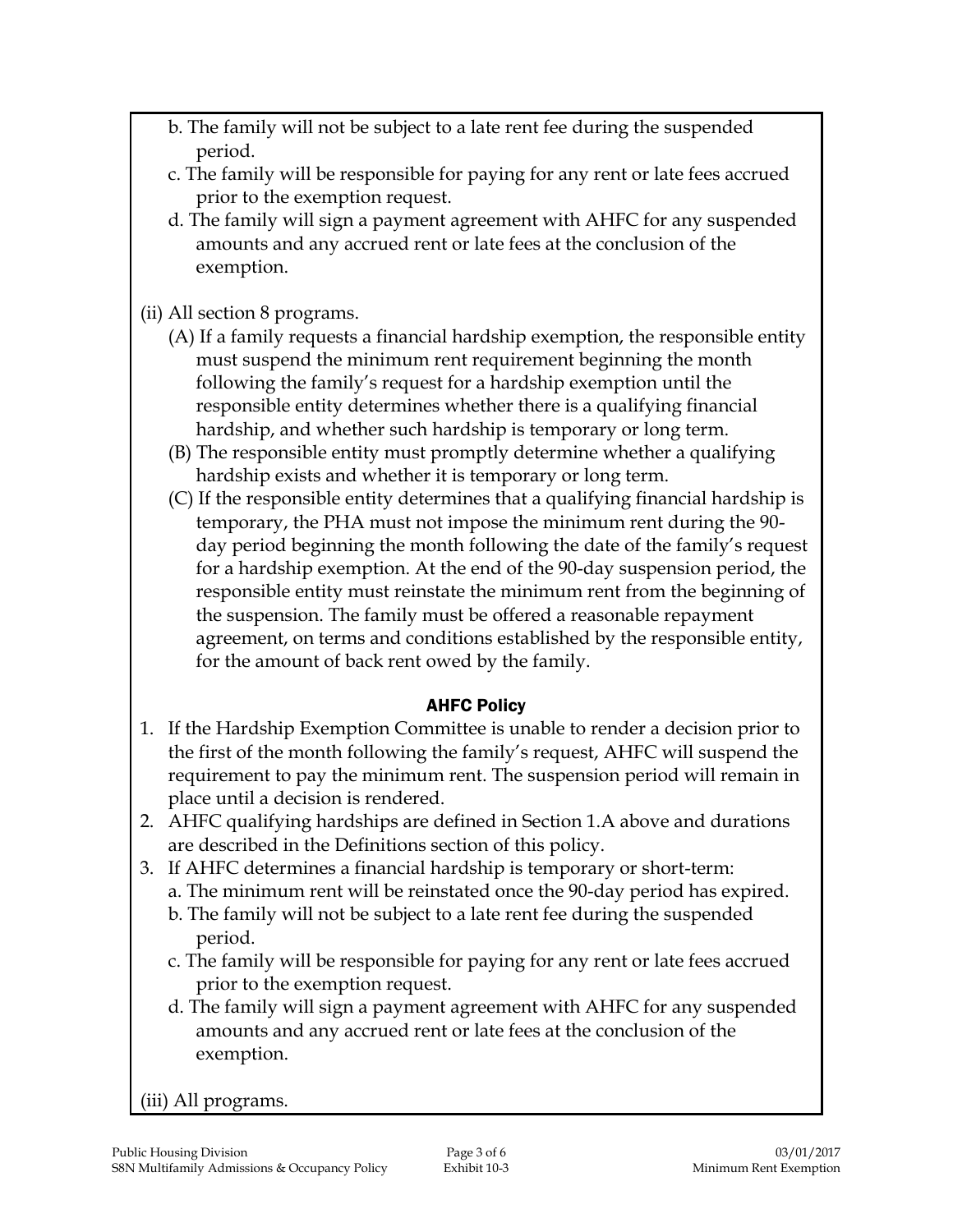- b. The family will not be subject to a late rent fee during the suspended period.
- c. The family will be responsible for paying for any rent or late fees accrued prior to the exemption request.
- d. The family will sign a payment agreement with AHFC for any suspended amounts and any accrued rent or late fees at the conclusion of the exemption.

(ii) All section 8 programs.

- (A) If a family requests a financial hardship exemption, the responsible entity must suspend the minimum rent requirement beginning the month following the family's request for a hardship exemption until the responsible entity determines whether there is a qualifying financial hardship, and whether such hardship is temporary or long term.
- (B) The responsible entity must promptly determine whether a qualifying hardship exists and whether it is temporary or long term.
- (C) If the responsible entity determines that a qualifying financial hardship is temporary, the PHA must not impose the minimum rent during the 90 day period beginning the month following the date of the family's request for a hardship exemption. At the end of the 90-day suspension period, the responsible entity must reinstate the minimum rent from the beginning of the suspension. The family must be offered a reasonable repayment agreement, on terms and conditions established by the responsible entity, for the amount of back rent owed by the family.

#### AHFC Policy

- 1. If the Hardship Exemption Committee is unable to render a decision prior to the first of the month following the family's request, AHFC will suspend the requirement to pay the minimum rent. The suspension period will remain in place until a decision is rendered.
- 2. AHFC qualifying hardships are defined in Section 1.A above and durations are described in the Definitions section of this policy.
- 3. If AHFC determines a financial hardship is temporary or short-term:
	- a. The minimum rent will be reinstated once the 90-day period has expired.
		- b. The family will not be subject to a late rent fee during the suspended period.
		- c. The family will be responsible for paying for any rent or late fees accrued prior to the exemption request.
		- d. The family will sign a payment agreement with AHFC for any suspended amounts and any accrued rent or late fees at the conclusion of the exemption.

(iii) All programs.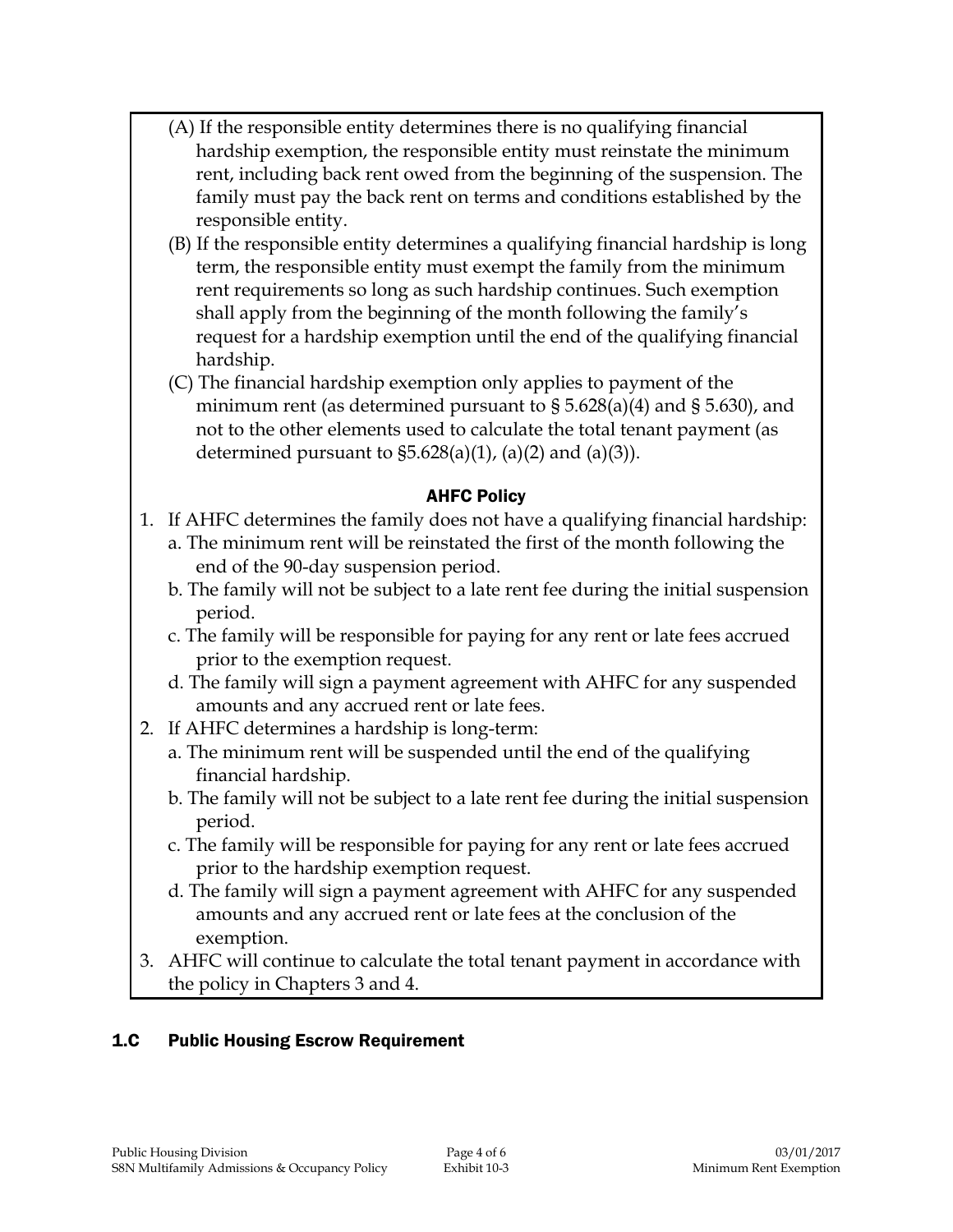- (A) If the responsible entity determines there is no qualifying financial hardship exemption, the responsible entity must reinstate the minimum rent, including back rent owed from the beginning of the suspension. The family must pay the back rent on terms and conditions established by the responsible entity.
- (B) If the responsible entity determines a qualifying financial hardship is long term, the responsible entity must exempt the family from the minimum rent requirements so long as such hardship continues. Such exemption shall apply from the beginning of the month following the family's request for a hardship exemption until the end of the qualifying financial hardship.
- (C) The financial hardship exemption only applies to payment of the minimum rent (as determined pursuant to § 5.628(a)(4) and § 5.630), and not to the other elements used to calculate the total tenant payment (as determined pursuant to  $$5.628(a)(1)$ ,  $(a)(2)$  and  $(a)(3)$ ).

#### AHFC Policy

- 1. If AHFC determines the family does not have a qualifying financial hardship:
	- a. The minimum rent will be reinstated the first of the month following the end of the 90-day suspension period.
	- b. The family will not be subject to a late rent fee during the initial suspension period.
	- c. The family will be responsible for paying for any rent or late fees accrued prior to the exemption request.
	- d. The family will sign a payment agreement with AHFC for any suspended amounts and any accrued rent or late fees.
- 2. If AHFC determines a hardship is long-term:
	- a. The minimum rent will be suspended until the end of the qualifying financial hardship.
	- b. The family will not be subject to a late rent fee during the initial suspension period.
	- c. The family will be responsible for paying for any rent or late fees accrued prior to the hardship exemption request.
	- d. The family will sign a payment agreement with AHFC for any suspended amounts and any accrued rent or late fees at the conclusion of the exemption.
- 3. AHFC will continue to calculate the total tenant payment in accordance with the policy in Chapters 3 and 4.

#### 1.C Public Housing Escrow Requirement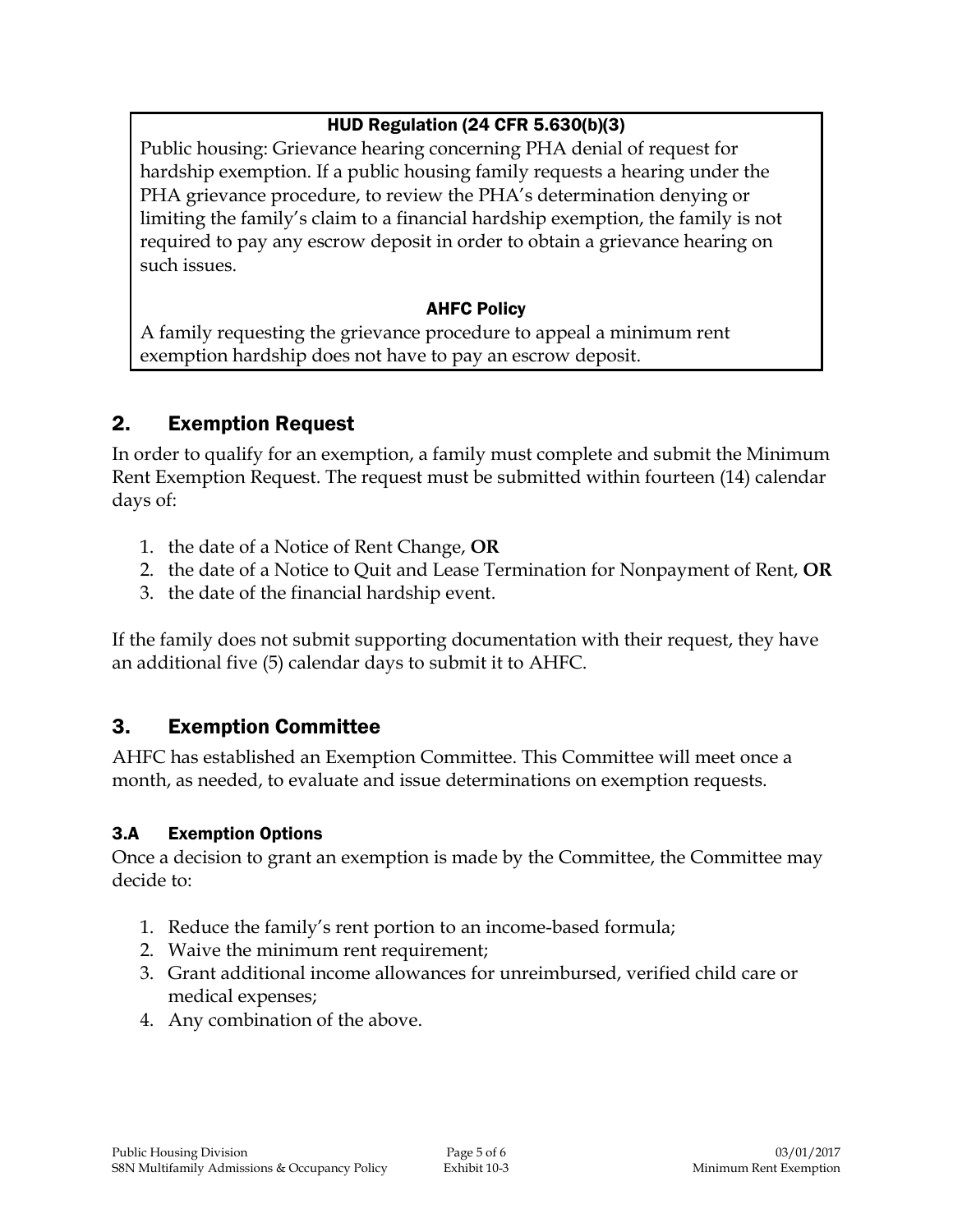## HUD Regulation (24 CFR 5.630(b)(3)

Public housing: Grievance hearing concerning PHA denial of request for hardship exemption. If a public housing family requests a hearing under the PHA grievance procedure, to review the PHA's determination denying or limiting the family's claim to a financial hardship exemption, the family is not required to pay any escrow deposit in order to obtain a grievance hearing on such issues.

#### AHFC Policy

A family requesting the grievance procedure to appeal a minimum rent exemption hardship does not have to pay an escrow deposit.

# 2. Exemption Request

In order to qualify for an exemption, a family must complete and submit the Minimum Rent Exemption Request. The request must be submitted within fourteen (14) calendar days of:

- 1. the date of a Notice of Rent Change, **OR**
- 2. the date of a Notice to Quit and Lease Termination for Nonpayment of Rent, **OR**
- 3. the date of the financial hardship event.

If the family does not submit supporting documentation with their request, they have an additional five (5) calendar days to submit it to AHFC.

# 3. Exemption Committee

AHFC has established an Exemption Committee. This Committee will meet once a month, as needed, to evaluate and issue determinations on exemption requests.

#### 3.A Exemption Options

Once a decision to grant an exemption is made by the Committee, the Committee may decide to:

- 1. Reduce the family's rent portion to an income-based formula;
- 2. Waive the minimum rent requirement;
- 3. Grant additional income allowances for unreimbursed, verified child care or medical expenses;
- 4. Any combination of the above.